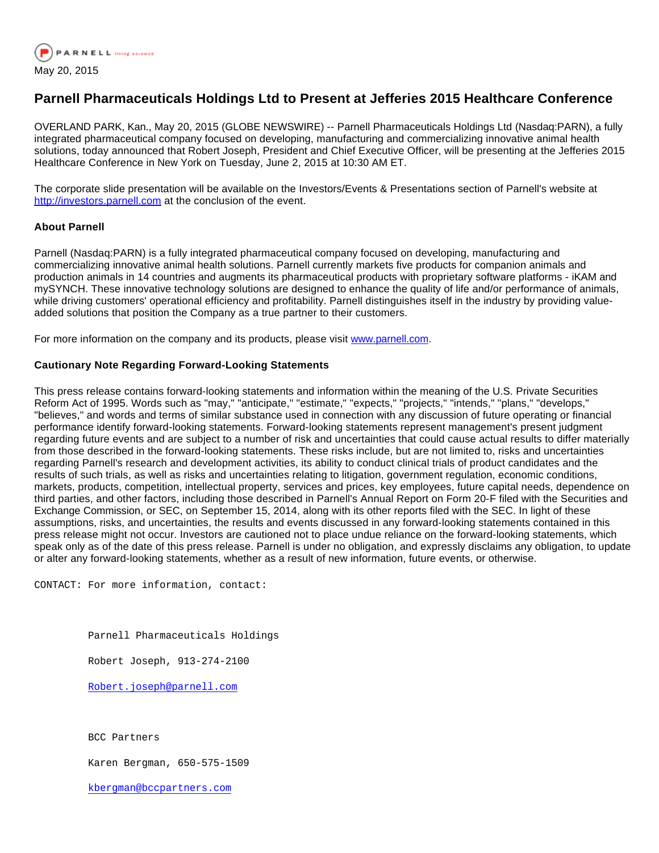

## **Parnell Pharmaceuticals Holdings Ltd to Present at Jefferies 2015 Healthcare Conference**

OVERLAND PARK, Kan., May 20, 2015 (GLOBE NEWSWIRE) -- Parnell Pharmaceuticals Holdings Ltd (Nasdaq:PARN), a fully integrated pharmaceutical company focused on developing, manufacturing and commercializing innovative animal health solutions, today announced that Robert Joseph, President and Chief Executive Officer, will be presenting at the Jefferies 2015 Healthcare Conference in New York on Tuesday, June 2, 2015 at 10:30 AM ET.

The corporate slide presentation will be available on the Investors/Events & Presentations section of Parnell's website at [http://investors.parnell.com](http://www.globenewswire.com/newsroom/ctr?d=10135395&l=2&a=http%3A%2F%2Finvestors.parnell.com&u=http%3A%2F%2Finvestors.parnell.com%2F) at the conclusion of the event.

## **About Parnell**

Parnell (Nasdaq:PARN) is a fully integrated pharmaceutical company focused on developing, manufacturing and commercializing innovative animal health solutions. Parnell currently markets five products for companion animals and production animals in 14 countries and augments its pharmaceutical products with proprietary software platforms - iKAM and mySYNCH. These innovative technology solutions are designed to enhance the quality of life and/or performance of animals, while driving customers' operational efficiency and profitability. Parnell distinguishes itself in the industry by providing valueadded solutions that position the Company as a true partner to their customers.

For more information on the company and its products, please visit [www.parnell.com](http://www.globenewswire.com/newsroom/ctr?d=10135395&l=5&a=www.parnell.com&u=http%3A%2F%2Fwww.parnell.com%2F).

## **Cautionary Note Regarding Forward-Looking Statements**

This press release contains forward-looking statements and information within the meaning of the U.S. Private Securities Reform Act of 1995. Words such as "may," "anticipate," "estimate," "expects," "projects," "intends," "plans," "develops," "believes," and words and terms of similar substance used in connection with any discussion of future operating or financial performance identify forward-looking statements. Forward-looking statements represent management's present judgment regarding future events and are subject to a number of risk and uncertainties that could cause actual results to differ materially from those described in the forward-looking statements. These risks include, but are not limited to, risks and uncertainties regarding Parnell's research and development activities, its ability to conduct clinical trials of product candidates and the results of such trials, as well as risks and uncertainties relating to litigation, government regulation, economic conditions, markets, products, competition, intellectual property, services and prices, key employees, future capital needs, dependence on third parties, and other factors, including those described in Parnell's Annual Report on Form 20-F filed with the Securities and Exchange Commission, or SEC, on September 15, 2014, along with its other reports filed with the SEC. In light of these assumptions, risks, and uncertainties, the results and events discussed in any forward-looking statements contained in this press release might not occur. Investors are cautioned not to place undue reliance on the forward-looking statements, which speak only as of the date of this press release. Parnell is under no obligation, and expressly disclaims any obligation, to update or alter any forward-looking statements, whether as a result of new information, future events, or otherwise.

CONTACT: For more information, contact:

Parnell Pharmaceuticals Holdings

Robert Joseph, 913-274-2100

[Robert.joseph@parnell.com](mailto:Robert.joseph@parnell.com)

BCC Partners

Karen Bergman, 650-575-1509

[kbergman@bccpartners.com](mailto:kbergman@bccpartners.com)